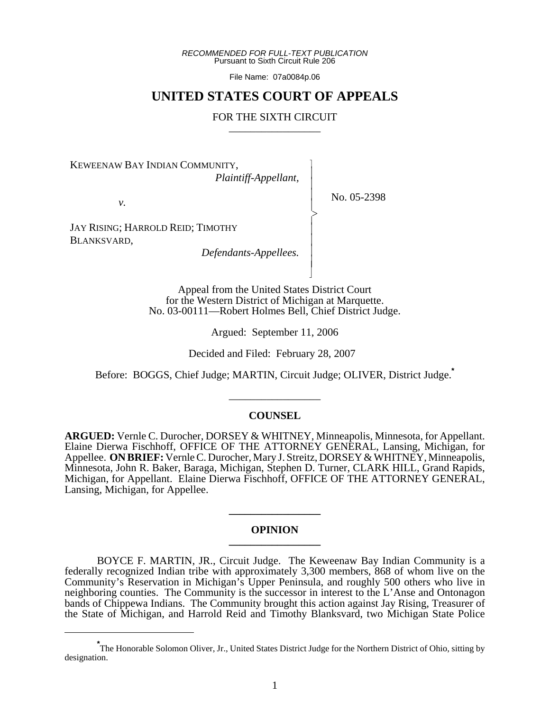*RECOMMENDED FOR FULL-TEXT PUBLICATION* Pursuant to Sixth Circuit Rule 206

File Name: 07a0084p.06

# **UNITED STATES COURT OF APPEALS**

# FOR THE SIXTH CIRCUIT

KEWEENAW BAY INDIAN COMMUNITY, *Plaintiff-Appellant,*

*v.*

- -

 $\overline{\phantom{a}}$ 

- -  $\succ$ |<br>|<br>| - - - - N

No. 05-2398

JAY RISING; HARROLD REID; TIMOTHY BLANKSVARD,

*Defendants-Appellees.*

Appeal from the United States District Court for the Western District of Michigan at Marquette. No. 03-00111—Robert Holmes Bell, Chief District Judge.

Argued: September 11, 2006

Decided and Filed: February 28, 2007

Before: BOGGS, Chief Judge; MARTIN, Circuit Judge; OLIVER, District Judge.**\***

\_\_\_\_\_\_\_\_\_\_\_\_\_\_\_\_\_

# **COUNSEL**

**ARGUED:** Vernle C. Durocher, DORSEY & WHITNEY, Minneapolis, Minnesota, for Appellant. Elaine Dierwa Fischhoff, OFFICE OF THE ATTORNEY GENERAL, Lansing, Michigan, for Appellee. **ON BRIEF:** Vernle C. Durocher, Mary J. Streitz, DORSEY & WHITNEY, Minneapolis, Minnesota, John R. Baker, Baraga, Michigan, Stephen D. Turner, CLARK HILL, Grand Rapids, Michigan, for Appellant. Elaine Dierwa Fischhoff, OFFICE OF THE ATTORNEY GENERAL, Lansing, Michigan, for Appellee.

### **OPINION \_\_\_\_\_\_\_\_\_\_\_\_\_\_\_\_\_**

**\_\_\_\_\_\_\_\_\_\_\_\_\_\_\_\_\_**

BOYCE F. MARTIN, JR., Circuit Judge. The Keweenaw Bay Indian Community is a federally recognized Indian tribe with approximately 3,300 members, 868 of whom live on the Community's Reservation in Michigan's Upper Peninsula, and roughly 500 others who live in neighboring counties. The Community is the successor in interest to the L'Anse and Ontonagon bands of Chippewa Indians. The Community brought this action against Jay Rising, Treasurer of the State of Michigan, and Harrold Reid and Timothy Blanksvard, two Michigan State Police

**<sup>\*</sup>** The Honorable Solomon Oliver, Jr., United States District Judge for the Northern District of Ohio, sitting by designation.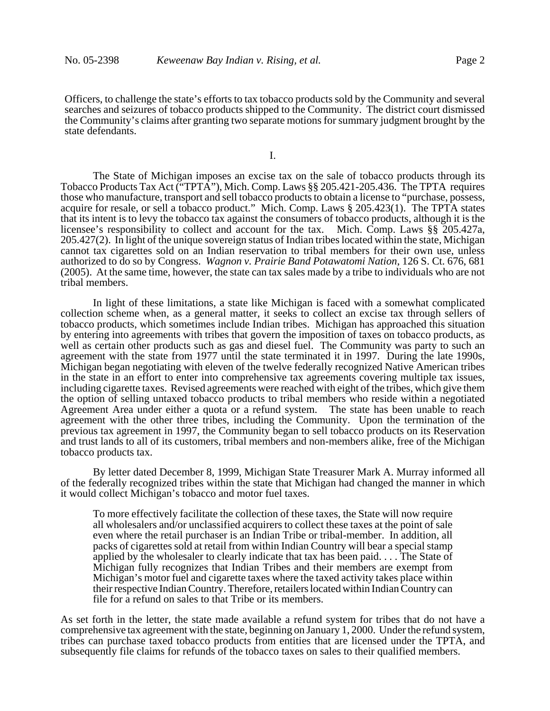Officers, to challenge the state's efforts to tax tobacco products sold by the Community and several searches and seizures of tobacco products shipped to the Community. The district court dismissed the Community's claims after granting two separate motions for summary judgment brought by the state defendants.

I.

The State of Michigan imposes an excise tax on the sale of tobacco products through its Tobacco Products Tax Act ("TPTA"), Mich. Comp. Laws §§ 205.421-205.436. The TPTA requires those who manufacture, transport and sell tobacco products to obtain a license to "purchase, possess, acquire for resale, or sell a tobacco product." Mich. Comp. Laws § 205.423(1). The TPTA states that its intent is to levy the tobacco tax against the consumers of tobacco products, although it is the licensee's responsibility to collect and account for the tax. Mich. Comp. Laws §§ 205.427a, 205.427(2). In light of the unique sovereign status of Indian tribes located within the state, Michigan cannot tax cigarettes sold on an Indian reservation to tribal members for their own use, unless authorized to do so by Congress. *Wagnon v. Prairie Band Potawatomi Nation*, 126 S. Ct. 676, 681 (2005). At the same time, however, the state can tax sales made by a tribe to individuals who are not tribal members.

In light of these limitations, a state like Michigan is faced with a somewhat complicated collection scheme when, as a general matter, it seeks to collect an excise tax through sellers of tobacco products, which sometimes include Indian tribes. Michigan has approached this situation by entering into agreements with tribes that govern the imposition of taxes on tobacco products, as well as certain other products such as gas and diesel fuel. The Community was party to such an agreement with the state from 1977 until the state terminated it in 1997. During the late 1990s, Michigan began negotiating with eleven of the twelve federally recognized Native American tribes in the state in an effort to enter into comprehensive tax agreements covering multiple tax issues, including cigarette taxes. Revised agreements were reached with eight of the tribes, which give them the option of selling untaxed tobacco products to tribal members who reside within a negotiated Agreement Area under either a quota or a refund system. The state has been unable to reach agreement with the other three tribes, including the Community. Upon the termination of the previous tax agreement in 1997, the Community began to sell tobacco products on its Reservation and trust lands to all of its customers, tribal members and non-members alike, free of the Michigan tobacco products tax.

By letter dated December 8, 1999, Michigan State Treasurer Mark A. Murray informed all of the federally recognized tribes within the state that Michigan had changed the manner in which it would collect Michigan's tobacco and motor fuel taxes.

To more effectively facilitate the collection of these taxes, the State will now require all wholesalers and/or unclassified acquirers to collect these taxes at the point of sale even where the retail purchaser is an Indian Tribe or tribal-member. In addition, all packs of cigarettes sold at retail from within Indian Country will bear a special stamp applied by the wholesaler to clearly indicate that tax has been paid. . . . The State of Michigan fully recognizes that Indian Tribes and their members are exempt from Michigan's motor fuel and cigarette taxes where the taxed activity takes place within their respective Indian Country. Therefore, retailers located within Indian Country can file for a refund on sales to that Tribe or its members.

As set forth in the letter, the state made available a refund system for tribes that do not have a comprehensive tax agreement with the state, beginning on January 1, 2000. Under the refund system, tribes can purchase taxed tobacco products from entities that are licensed under the TPTA, and subsequently file claims for refunds of the tobacco taxes on sales to their qualified members.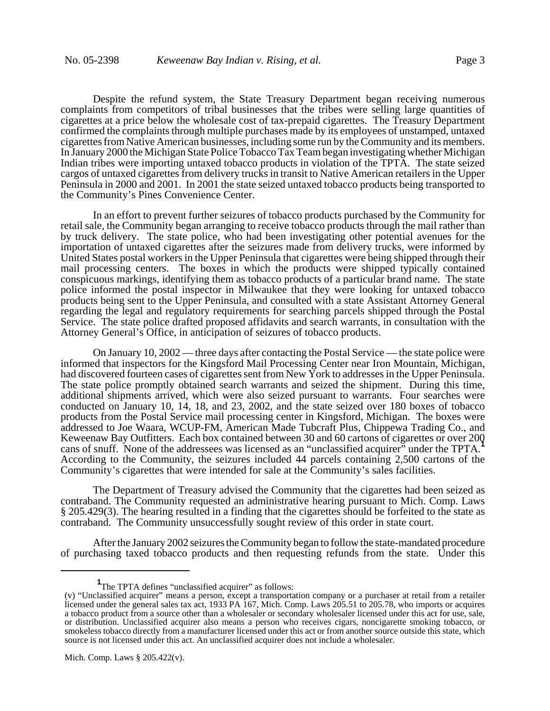Despite the refund system, the State Treasury Department began receiving numerous complaints from competitors of tribal businesses that the tribes were selling large quantities of cigarettes at a price below the wholesale cost of tax-prepaid cigarettes. The Treasury Department confirmed the complaints through multiple purchases made by its employees of unstamped, untaxed cigarettes from Native American businesses, including some run by the Community and its members. In January 2000 the Michigan State Police Tobacco Tax Team began investigating whether Michigan Indian tribes were importing untaxed tobacco products in violation of the TPTA. The state seized cargos of untaxed cigarettes from delivery trucks in transit to Native American retailers in the Upper Peninsula in 2000 and 2001. In 2001 the state seized untaxed tobacco products being transported to the Community's Pines Convenience Center.

In an effort to prevent further seizures of tobacco products purchased by the Community for retail sale, the Community began arranging to receive tobacco products through the mail rather than by truck delivery. The state police, who had been investigating other potential avenues for the importation of untaxed cigarettes after the seizures made from delivery trucks, were informed by United States postal workers in the Upper Peninsula that cigarettes were being shipped through their mail processing centers. The boxes in which the products were shipped typically contained conspicuous markings, identifying them as tobacco products of a particular brand name. The state police informed the postal inspector in Milwaukee that they were looking for untaxed tobacco products being sent to the Upper Peninsula, and consulted with a state Assistant Attorney General regarding the legal and regulatory requirements for searching parcels shipped through the Postal Service. The state police drafted proposed affidavits and search warrants, in consultation with the Attorney General's Office, in anticipation of seizures of tobacco products.

On January 10, 2002 — three days after contacting the Postal Service — the state police were informed that inspectors for the Kingsford Mail Processing Center near Iron Mountain, Michigan, had discovered fourteen cases of cigarettes sent from New York to addresses in the Upper Peninsula. The state police promptly obtained search warrants and seized the shipment. During this time, additional shipments arrived, which were also seized pursuant to warrants. Four searches were conducted on January 10, 14, 18, and 23, 2002, and the state seized over 180 boxes of tobacco products from the Postal Service mail processing center in Kingsford, Michigan. The boxes were addressed to Joe Waara, WCUP-FM, American Made Tubcraft Plus, Chippewa Trading Co., and Keweenaw Bay Outfitters. Each box contained between 30 and 60 cartons of cigarettes or over 200 cans of snuff. None of the addressees was licensed as an "unclassified acquirer" under the TPTA. According to the Community, the seizures included 44 parcels containing 2,500 cartons of the Community's cigarettes that were intended for sale at the Community's sales facilities.

The Department of Treasury advised the Community that the cigarettes had been seized as contraband. The Community requested an administrative hearing pursuant to Mich. Comp. Laws § 205.429(3). The hearing resulted in a finding that the cigarettes should be forfeited to the state as contraband. The Community unsuccessfully sought review of this order in state court.

After the January 2002 seizures the Community began to follow the state-mandated procedure of purchasing taxed tobacco products and then requesting refunds from the state. Under this

**<sup>1</sup>** The TPTA defines "unclassified acquirer" as follows:

<sup>(</sup>v) "Unclassified acquirer" means a person, except a transportation company or a purchaser at retail from a retailer licensed under the general sales tax act, 1933 PA 167, Mich. Comp. Laws 205.51 to 205.78, who imports or acquires a tobacco product from a source other than a wholesaler or secondary wholesaler licensed under this act for use, sale, or distribution. Unclassified acquirer also means a person who receives cigars, noncigarette smoking tobacco, or smokeless tobacco directly from a manufacturer licensed under this act or from another source outside this state, which source is not licensed under this act. An unclassified acquirer does not include a wholesaler.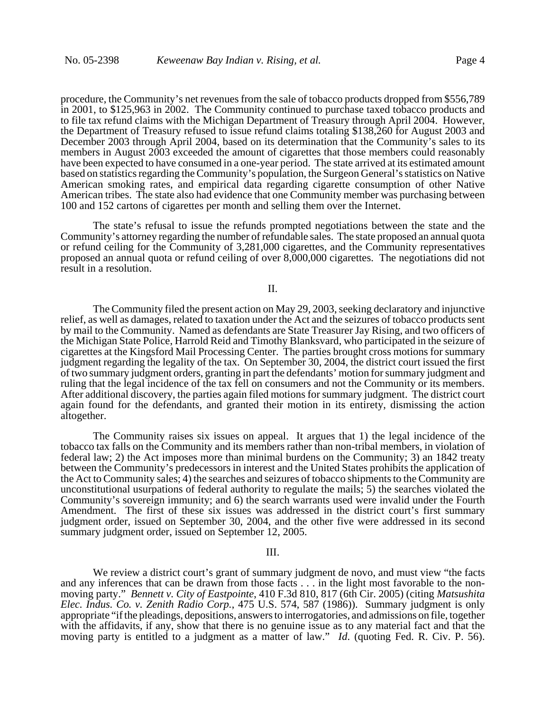procedure, the Community's net revenues from the sale of tobacco products dropped from \$556,789 in 2001, to \$125,963 in 2002. The Community continued to purchase taxed tobacco products and to file tax refund claims with the Michigan Department of Treasury through April 2004. However, the Department of Treasury refused to issue refund claims totaling \$138,260 for August 2003 and December 2003 through April 2004, based on its determination that the Community's sales to its members in August 2003 exceeded the amount of cigarettes that those members could reasonably have been expected to have consumed in a one-year period. The state arrived at its estimated amount based on statistics regarding the Community's population, the Surgeon General's statistics on Native American smoking rates, and empirical data regarding cigarette consumption of other Native American tribes. The state also had evidence that one Community member was purchasing between 100 and 152 cartons of cigarettes per month and selling them over the Internet.

The state's refusal to issue the refunds prompted negotiations between the state and the Community's attorney regarding the number of refundable sales. The state proposed an annual quota or refund ceiling for the Community of 3,281,000 cigarettes, and the Community representatives proposed an annual quota or refund ceiling of over 8,000,000 cigarettes. The negotiations did not result in a resolution.

### II.

The Community filed the present action on May 29, 2003, seeking declaratory and injunctive relief, as well as damages, related to taxation under the Act and the seizures of tobacco products sent by mail to the Community. Named as defendants are State Treasurer Jay Rising, and two officers of the Michigan State Police, Harrold Reid and Timothy Blanksvard, who participated in the seizure of cigarettes at the Kingsford Mail Processing Center. The parties brought cross motions for summary judgment regarding the legality of the tax. On September 30, 2004, the district court issued the first of two summary judgment orders, granting in part the defendants' motion for summary judgment and ruling that the legal incidence of the tax fell on consumers and not the Community or its members. After additional discovery, the parties again filed motions for summary judgment. The district court again found for the defendants, and granted their motion in its entirety, dismissing the action altogether.

The Community raises six issues on appeal. It argues that 1) the legal incidence of the tobacco tax falls on the Community and its members rather than non-tribal members, in violation of federal law; 2) the Act imposes more than minimal burdens on the Community; 3) an 1842 treaty between the Community's predecessors in interest and the United States prohibits the application of the Act to Community sales; 4) the searches and seizures of tobacco shipments to the Community are unconstitutional usurpations of federal authority to regulate the mails; 5) the searches violated the Community's sovereign immunity; and 6) the search warrants used were invalid under the Fourth Amendment. The first of these six issues was addressed in the district court's first summary judgment order, issued on September 30, 2004, and the other five were addressed in its second summary judgment order, issued on September 12, 2005.

#### III.

We review a district court's grant of summary judgment de novo, and must view "the facts and any inferences that can be drawn from those facts . . . in the light most favorable to the nonmoving party." *Bennett v. City of Eastpointe*, 410 F.3d 810, 817 (6th Cir. 2005) (citing *Matsushita Elec. Indus. Co. v. Zenith Radio Corp.*, 475 U.S. 574, 587 (1986)). Summary judgment is only appropriate "if the pleadings, depositions, answers to interrogatories, and admissions on file, together with the affidavits, if any, show that there is no genuine issue as to any material fact and that the moving party is entitled to a judgment as a matter of law." *Id*. (quoting Fed. R. Civ. P. 56).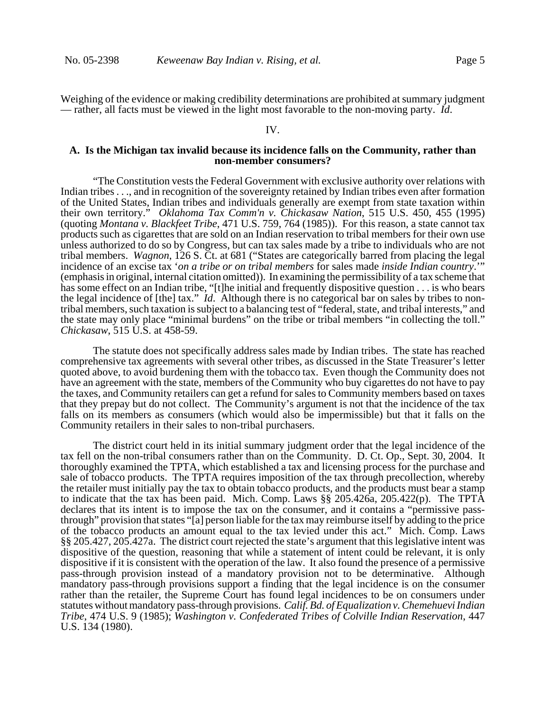Weighing of the evidence or making credibility determinations are prohibited at summary judgment — rather, all facts must be viewed in the light most favorable to the non-moving party. *Id*.

#### IV.

# **A. Is the Michigan tax invalid because its incidence falls on the Community, rather than non-member consumers?**

"The Constitution vests the Federal Government with exclusive authority over relations with Indian tribes . . ., and in recognition of the sovereignty retained by Indian tribes even after formation of the United States, Indian tribes and individuals generally are exempt from state taxation within their own territory." *Oklahoma Tax Comm'n v. Chickasaw Nation*, 515 U.S. 450, 455 (1995) (quoting *Montana v. Blackfeet Tribe*, 471 U.S. 759, 764 (1985)). For this reason, a state cannot tax products such as cigarettes that are sold on an Indian reservation to tribal members for their own use unless authorized to do so by Congress, but can tax sales made by a tribe to individuals who are not tribal members. *Wagnon*, 126 S. Ct. at 681 ("States are categorically barred from placing the legal incidence of an excise tax '*on a tribe or on tribal members* for sales made *inside Indian country*.'" (emphasis in original, internal citation omitted)). In examining the permissibility of a tax scheme that has some effect on an Indian tribe, "[t]he initial and frequently dispositive question . . . is who bears the legal incidence of [the] tax." *Id*. Although there is no categorical bar on sales by tribes to nontribal members, such taxation is subject to a balancing test of "federal, state, and tribal interests," and the state may only place "minimal burdens" on the tribe or tribal members "in collecting the toll." *Chickasaw*, 515 U.S. at 458-59.

The statute does not specifically address sales made by Indian tribes. The state has reached comprehensive tax agreements with several other tribes, as discussed in the State Treasurer's letter quoted above, to avoid burdening them with the tobacco tax. Even though the Community does not have an agreement with the state, members of the Community who buy cigarettes do not have to pay the taxes, and Community retailers can get a refund for sales to Community members based on taxes that they prepay but do not collect. The Community's argument is not that the incidence of the tax falls on its members as consumers (which would also be impermissible) but that it falls on the Community retailers in their sales to non-tribal purchasers.

The district court held in its initial summary judgment order that the legal incidence of the tax fell on the non-tribal consumers rather than on the Community. D. Ct. Op., Sept. 30, 2004. It thoroughly examined the TPTA, which established a tax and licensing process for the purchase and sale of tobacco products. The TPTA requires imposition of the tax through precollection, whereby the retailer must initially pay the tax to obtain tobacco products, and the products must bear a stamp to indicate that the tax has been paid. Mich. Comp. Laws §§ 205.426a, 205.422(p). The TPTA declares that its intent is to impose the tax on the consumer, and it contains a "permissive passthrough" provision that states "[a] person liable for the tax may reimburse itself by adding to the price of the tobacco products an amount equal to the tax levied under this act." Mich. Comp. Laws §§ 205.427, 205.427a. The district court rejected the state's argument that this legislative intent was dispositive of the question, reasoning that while a statement of intent could be relevant, it is only dispositive if it is consistent with the operation of the law. It also found the presence of a permissive pass-through provision instead of a mandatory provision not to be determinative. Although mandatory pass-through provisions support a finding that the legal incidence is on the consumer rather than the retailer, the Supreme Court has found legal incidences to be on consumers under statutes without mandatory pass-through provisions. *Calif. Bd. of Equalization v. Chemehuevi Indian Tribe*, 474 U.S. 9 (1985); *Washington v. Confederated Tribes of Colville Indian Reservation*, 447 U.S. 134 (1980).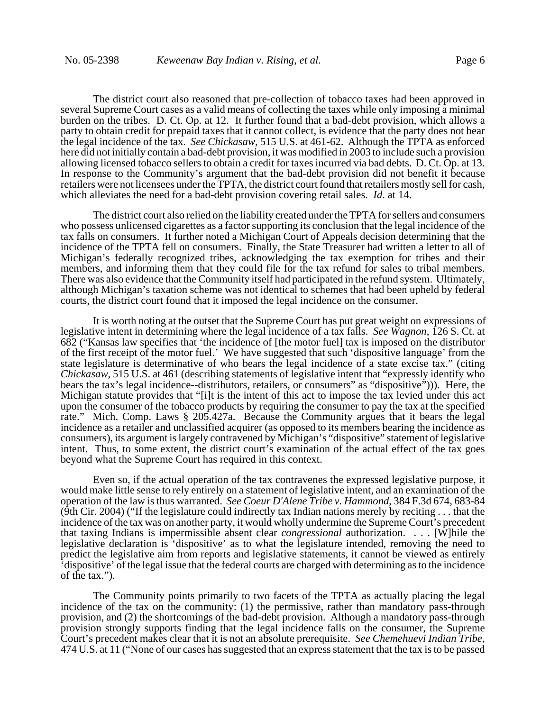The district court also reasoned that pre-collection of tobacco taxes had been approved in several Supreme Court cases as a valid means of collecting the taxes while only imposing a minimal burden on the tribes. D. Ct. Op. at 12. It further found that a bad-debt provision, which allows a party to obtain credit for prepaid taxes that it cannot collect, is evidence that the party does not bear the legal incidence of the tax. *See Chickasaw*, 515 U.S. at 461-62. Although the TPTA as enforced here did not initially contain a bad-debt provision, it was modified in 2003 to include such a provision allowing licensed tobacco sellers to obtain a credit for taxes incurred via bad debts. D. Ct. Op. at 13. In response to the Community's argument that the bad-debt provision did not benefit it because retailers were not licensees under the TPTA, the district court found that retailers mostly sell for cash, which alleviates the need for a bad-debt provision covering retail sales. *Id*. at 14.

The district court also relied on the liability created under the TPTA for sellers and consumers who possess unlicensed cigarettes as a factor supporting its conclusion that the legal incidence of the tax falls on consumers. It further noted a Michigan Court of Appeals decision determining that the incidence of the TPTA fell on consumers. Finally, the State Treasurer had written a letter to all of Michigan's federally recognized tribes, acknowledging the tax exemption for tribes and their members, and informing them that they could file for the tax refund for sales to tribal members. There was also evidence that the Community itself had participated in the refund system. Ultimately, although Michigan's taxation scheme was not identical to schemes that had been upheld by federal courts, the district court found that it imposed the legal incidence on the consumer.

 It is worth noting at the outset that the Supreme Court has put great weight on expressions of legislative intent in determining where the legal incidence of a tax falls. *See Wagnon*, 126 S. Ct. at 682 ("Kansas law specifies that 'the incidence of [the motor fuel] tax is imposed on the distributor of the first receipt of the motor fuel.' We have suggested that such 'dispositive language' from the state legislature is determinative of who bears the legal incidence of a state excise tax." (citing *Chickasaw*, 515 U.S. at 461 (describing statements of legislative intent that "expressly identify who bears the tax's legal incidence--distributors, retailers, or consumers" as "dispositive"))). Here, the Michigan statute provides that "[i]t is the intent of this act to impose the tax levied under this act upon the consumer of the tobacco products by requiring the consumer to pay the tax at the specified rate." Mich. Comp. Laws § 205.427a. Because the Community argues that it bears the legal incidence as a retailer and unclassified acquirer (as opposed to its members bearing the incidence as consumers), its argument is largely contravened by Michigan's "dispositive" statement of legislative intent. Thus, to some extent, the district court's examination of the actual effect of the tax goes beyond what the Supreme Court has required in this context.

Even so, if the actual operation of the tax contravenes the expressed legislative purpose, it would make little sense to rely entirely on a statement of legislative intent, and an examination of the operation of the law is thus warranted. *See Coeur D'Alene Tribe v. Hammond*, 384 F.3d 674, 683-84 (9th Cir. 2004) ("If the legislature could indirectly tax Indian nations merely by reciting . . . that the incidence of the tax was on another party, it would wholly undermine the Supreme Court's precedent that taxing Indians is impermissible absent clear *congressional* authorization. . . . [W]hile the legislative declaration is 'dispositive' as to what the legislature intended, removing the need to predict the legislative aim from reports and legislative statements, it cannot be viewed as entirely 'dispositive' of the legal issue that the federal courts are charged with determining as to the incidence of the tax.").

The Community points primarily to two facets of the TPTA as actually placing the legal incidence of the tax on the community: (1) the permissive, rather than mandatory pass-through provision, and (2) the shortcomings of the bad-debt provision. Although a mandatory pass-through provision strongly supports finding that the legal incidence falls on the consumer, the Supreme Court's precedent makes clear that it is not an absolute prerequisite. *See Chemehuevi Indian Tribe*, 474 U.S. at 11 ("None of our cases has suggested that an express statement that the tax is to be passed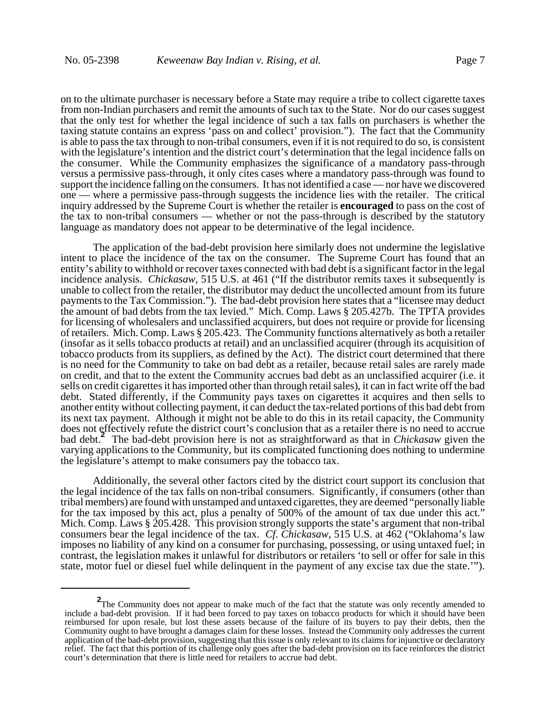on to the ultimate purchaser is necessary before a State may require a tribe to collect cigarette taxes from non-Indian purchasers and remit the amounts of such tax to the State. Nor do our cases suggest that the only test for whether the legal incidence of such a tax falls on purchasers is whether the taxing statute contains an express 'pass on and collect' provision."). The fact that the Community is able to pass the tax through to non-tribal consumers, even if it is not required to do so, is consistent with the legislature's intention and the district court's determination that the legal incidence falls on the consumer. While the Community emphasizes the significance of a mandatory pass-through versus a permissive pass-through, it only cites cases where a mandatory pass-through was found to support the incidence falling on the consumers. It has not identified a case — nor have we discovered one — where a permissive pass-through suggests the incidence lies with the retailer. The critical inquiry addressed by the Supreme Court is whether the retailer is **encouraged** to pass on the cost of the tax to non-tribal consumers — whether or not the pass-through is described by the statutory language as mandatory does not appear to be determinative of the legal incidence.

The application of the bad-debt provision here similarly does not undermine the legislative intent to place the incidence of the tax on the consumer. The Supreme Court has found that an entity's ability to withhold or recover taxes connected with bad debt is a significant factor in the legal incidence analysis. *Chickasaw*, 515 U.S. at 461 ("If the distributor remits taxes it subsequently is unable to collect from the retailer, the distributor may deduct the uncollected amount from its future payments to the Tax Commission."). The bad-debt provision here states that a "licensee may deduct the amount of bad debts from the tax levied." Mich. Comp. Laws § 205.427b. The TPTA provides for licensing of wholesalers and unclassified acquirers, but does not require or provide for licensing of retailers. Mich. Comp. Laws § 205.423. The Community functions alternatively as both a retailer (insofar as it sells tobacco products at retail) and an unclassified acquirer (through its acquisition of tobacco products from its suppliers, as defined by the Act). The district court determined that there is no need for the Community to take on bad debt as a retailer, because retail sales are rarely made on credit, and that to the extent the Community accrues bad debt as an unclassified acquirer (i.e. it sells on credit cigarettes it has imported other than through retail sales), it can in fact write off the bad debt. Stated differently, if the Community pays taxes on cigarettes it acquires and then sells to another entity without collecting payment, it can deduct the tax-related portions of this bad debt from its next tax payment. Although it might not be able to do this in its retail capacity, the Community does not effectively refute the district court's conclusion that as a retailer there is no need to accrue bad debt.**<sup>2</sup>** The bad-debt provision here is not as straightforward as that in *Chickasaw* given the varying applications to the Community, but its complicated functioning does nothing to undermine the legislature's attempt to make consumers pay the tobacco tax.

Additionally, the several other factors cited by the district court support its conclusion that the legal incidence of the tax falls on non-tribal consumers. Significantly, if consumers (other than tribal members) are found with unstamped and untaxed cigarettes, they are deemed "personally liable for the tax imposed by this act, plus a penalty of 500% of the amount of tax due under this act." Mich. Comp. Laws § 205.428. This provision strongly supports the state's argument that non-tribal consumers bear the legal incidence of the tax. *Cf. Chickasaw*, 515 U.S. at 462 ("Oklahoma's law imposes no liability of any kind on a consumer for purchasing, possessing, or using untaxed fuel; in contrast, the legislation makes it unlawful for distributors or retailers 'to sell or offer for sale in this state, motor fuel or diesel fuel while delinquent in the payment of any excise tax due the state.'").

<sup>&</sup>lt;sup>2</sup>The Community does not appear to make much of the fact that the statute was only recently amended to include a bad-debt provision. If it had been forced to pay taxes on tobacco products for which it should have been reimbursed for upon resale, but lost these assets because of the failure of its buyers to pay their debts, then the Community ought to have brought a damages claim for these losses. Instead the Community only addresses the current application of the bad-debt provision, suggesting that this issue is only relevant to its claims for injunctive or declaratory relief. The fact that this portion of its challenge only goes after the bad-debt provision on its face reinforces the district court's determination that there is little need for retailers to accrue bad debt.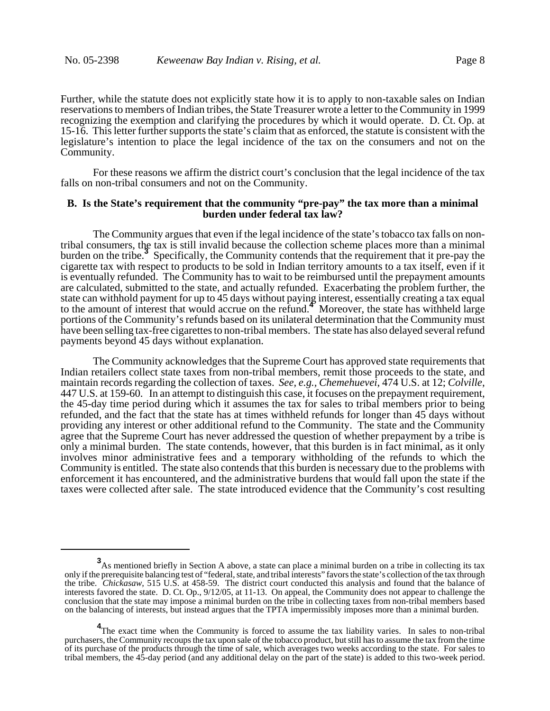Further, while the statute does not explicitly state how it is to apply to non-taxable sales on Indian reservations to members of Indian tribes, the State Treasurer wrote a letter to the Community in 1999 recognizing the exemption and clarifying the procedures by which it would operate. D. Ct. Op. at 15-16. This letter further supports the state's claim that as enforced, the statute is consistent with the legislature's intention to place the legal incidence of the tax on the consumers and not on the Community.

For these reasons we affirm the district court's conclusion that the legal incidence of the tax falls on non-tribal consumers and not on the Community.

# **B. Is the State's requirement that the community "pre-pay" the tax more than a minimal burden under federal tax law?**

The Community argues that even if the legal incidence of the state's tobacco tax falls on nontribal consumers, the tax is still invalid because the collection scheme places more than a minimal burden on the tribe.<sup>3</sup> Specifically, the Community contends that the requirement that it pre-pay the cigarette tax with respect to products to be sold in Indian territory amounts to a tax itself, even if it is eventually refunded. The Community has to wait to be reimbursed until the prepayment amounts are calculated, submitted to the state, and actually refunded. Exacerbating the problem further, the state can withhold payment for up to 45 days without paying interest, essentially creating a tax equal to the amount of interest that would accrue on the refund.<sup>4</sup> Moreover, the state has withheld large portions of the Community's refunds based on its unilateral determination that the Community must have been selling tax-free cigarettes to non-tribal members. The state has also delayed several refund payments beyond 45 days without explanation.

The Community acknowledges that the Supreme Court has approved state requirements that Indian retailers collect state taxes from non-tribal members, remit those proceeds to the state, and maintain records regarding the collection of taxes. *See, e.g., Chemehuevei*, 474 U.S. at 12; *Colville*, 447 U.S. at 159-60. In an attempt to distinguish this case, it focuses on the prepayment requirement, the 45-day time period during which it assumes the tax for sales to tribal members prior to being refunded, and the fact that the state has at times withheld refunds for longer than 45 days without providing any interest or other additional refund to the Community. The state and the Community agree that the Supreme Court has never addressed the question of whether prepayment by a tribe is only a minimal burden. The state contends, however, that this burden is in fact minimal, as it only involves minor administrative fees and a temporary withholding of the refunds to which the Community is entitled. The state also contends that this burden is necessary due to the problems with enforcement it has encountered, and the administrative burdens that would fall upon the state if the taxes were collected after sale. The state introduced evidence that the Community's cost resulting

**<sup>3</sup>**<br>As mentioned briefly in Section A above, a state can place a minimal burden on a tribe in collecting its tax only if the prerequisite balancing test of "federal, state, and tribal interests" favors the state's collection of the tax through the tribe. *Chickasaw*, 515 U.S. at 458-59. The district court conducted this analysis and found that the balance of interests favored the state. D. Ct. Op., 9/12/05, at 11-13. On appeal, the Community does not appear to challenge the conclusion that the state may impose a minimal burden on the tribe in collecting taxes from non-tribal members based on the balancing of interests, but instead argues that the TPTA impermissibly imposes more than a minimal burden.

<sup>&</sup>lt;sup>4</sup>The exact time when the Community is forced to assume the tax liability varies. In sales to non-tribal purchasers, the Community recoups the tax upon sale of the tobacco product, but still has to assume the tax from the time of its purchase of the products through the time of sale, which averages two weeks according to the state. For sales to tribal members, the 45-day period (and any additional delay on the part of the state) is added to this two-week period.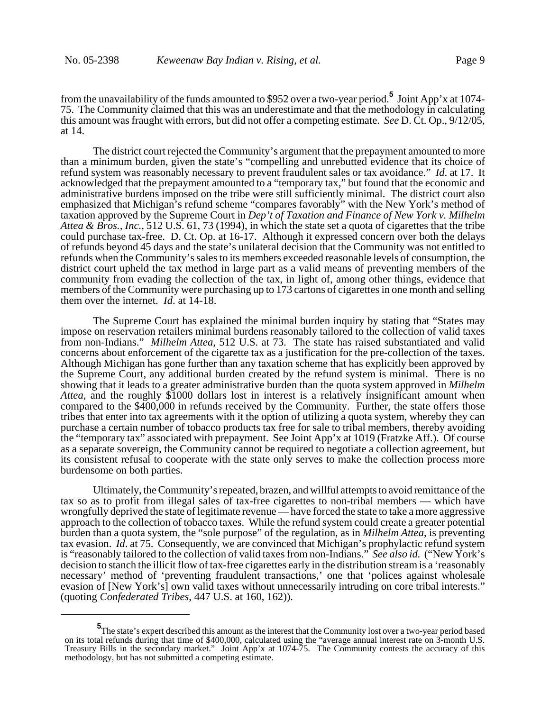from the unavailability of the funds amounted to \$952 over a two-year period.**<sup>5</sup>** Joint App'x at 1074- 75. The Community claimed that this was an underestimate and that the methodology in calculating this amount was fraught with errors, but did not offer a competing estimate. *See* D. Ct. Op., 9/12/05, at 14.

The district court rejected the Community's argument that the prepayment amounted to more than a minimum burden, given the state's "compelling and unrebutted evidence that its choice of refund system was reasonably necessary to prevent fraudulent sales or tax avoidance." *Id*. at 17. It acknowledged that the prepayment amounted to a "temporary tax," but found that the economic and administrative burdens imposed on the tribe were still sufficiently minimal. The district court also emphasized that Michigan's refund scheme "compares favorably" with the New York's method of taxation approved by the Supreme Court in *Dep't of Taxation and Finance of New York v. Milhelm Attea & Bros., Inc.*, 512 U.S. 61, 73 (1994), in which the state set a quota of cigarettes that the tribe could purchase tax-free. D. Ct. Op. at 16-17. Although it expressed concern over both the delays of refunds beyond 45 days and the state's unilateral decision that the Community was not entitled to refunds when the Community's sales to its members exceeded reasonable levels of consumption, the district court upheld the tax method in large part as a valid means of preventing members of the community from evading the collection of the tax, in light of, among other things, evidence that members of the Community were purchasing up to 173 cartons of cigarettes in one month and selling them over the internet. *Id*. at 14-18.

The Supreme Court has explained the minimal burden inquiry by stating that "States may impose on reservation retailers minimal burdens reasonably tailored to the collection of valid taxes from non-Indians." *Milhelm Attea*, 512 U.S. at 73. The state has raised substantiated and valid concerns about enforcement of the cigarette tax as a justification for the pre-collection of the taxes. Although Michigan has gone further than any taxation scheme that has explicitly been approved by the Supreme Court, any additional burden created by the refund system is minimal. There is no showing that it leads to a greater administrative burden than the quota system approved in *Milhelm Attea*, and the roughly \$1000 dollars lost in interest is a relatively insignificant amount when compared to the \$400,000 in refunds received by the Community. Further, the state offers those tribes that enter into tax agreements with it the option of utilizing a quota system, whereby they can purchase a certain number of tobacco products tax free for sale to tribal members, thereby avoiding the "temporary tax" associated with prepayment. See Joint App'x at 1019 (Fratzke Aff.). Of course as a separate sovereign, the Community cannot be required to negotiate a collection agreement, but its consistent refusal to cooperate with the state only serves to make the collection process more burdensome on both parties.

Ultimately, the Community's repeated, brazen, and willful attempts to avoid remittance of the tax so as to profit from illegal sales of tax-free cigarettes to non-tribal members — which have wrongfully deprived the state of legitimate revenue — have forced the state to take a more aggressive approach to the collection of tobacco taxes. While the refund system could create a greater potential burden than a quota system, the "sole purpose" of the regulation, as in *Milhelm Attea*, is preventing tax evasion. *Id*. at 75. Consequently, we are convinced that Michigan's prophylactic refund system is "reasonably tailored to the collection of valid taxes from non-Indians." *See also id.* ("New York's decision to stanch the illicit flow of tax-free cigarettes early in the distribution stream is a 'reasonably necessary' method of 'preventing fraudulent transactions,' one that 'polices against wholesale evasion of [New York's] own valid taxes without unnecessarily intruding on core tribal interests." (quoting *Confederated Tribes*, 447 U.S. at 160, 162)).

**<sup>5</sup>** The state's expert described this amount as the interest that the Community lost over a two-year period based on its total refunds during that time of \$400,000, calculated using the "average annual interest rate on 3-month U.S. Treasury Bills in the secondary market." Joint App'x at 1074-75. The Community contests the accuracy of this methodology, but has not submitted a competing estimate.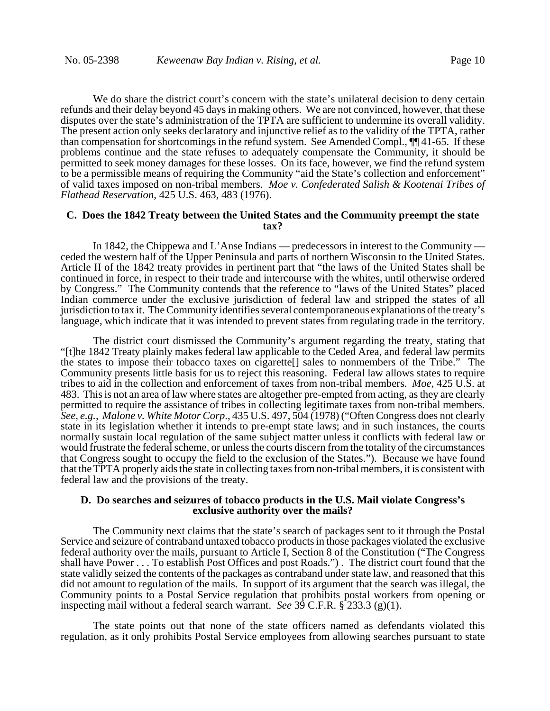We do share the district court's concern with the state's unilateral decision to deny certain refunds and their delay beyond 45 days in making others. We are not convinced, however, that these disputes over the state's administration of the TPTA are sufficient to undermine its overall validity. The present action only seeks declaratory and injunctive relief as to the validity of the TPTA, rather than compensation for shortcomings in the refund system. See Amended Compl., ¶¶ 41-65. If these problems continue and the state refuses to adequately compensate the Community, it should be permitted to seek money damages for these losses. On its face, however, we find the refund system to be a permissible means of requiring the Community "aid the State's collection and enforcement" of valid taxes imposed on non-tribal members. *Moe v. Confederated Salish & Kootenai Tribes of Flathead Reservation*, 425 U.S. 463, 483 (1976).

### **C. Does the 1842 Treaty between the United States and the Community preempt the state tax?**

In 1842, the Chippewa and L'Anse Indians — predecessors in interest to the Community ceded the western half of the Upper Peninsula and parts of northern Wisconsin to the United States. Article II of the 1842 treaty provides in pertinent part that "the laws of the United States shall be continued in force, in respect to their trade and intercourse with the whites, until otherwise ordered by Congress." The Community contends that the reference to "laws of the United States" placed Indian commerce under the exclusive jurisdiction of federal law and stripped the states of all jurisdiction to tax it. The Community identifies several contemporaneous explanations of the treaty's language, which indicate that it was intended to prevent states from regulating trade in the territory.

The district court dismissed the Community's argument regarding the treaty, stating that "[t]he 1842 Treaty plainly makes federal law applicable to the Ceded Area, and federal law permits the states to impose their tobacco taxes on cigarette[] sales to nonmembers of the Tribe." The Community presents little basis for us to reject this reasoning. Federal law allows states to require tribes to aid in the collection and enforcement of taxes from non-tribal members. *Moe*, 425 U.S. at 483. This is not an area of law where states are altogether pre-empted from acting, as they are clearly permitted to require the assistance of tribes in collecting legitimate taxes from non-tribal members. *See, e.g., Malone v. White Motor Corp*., 435 U.S. 497, 504 (1978) ("Often Congress does not clearly state in its legislation whether it intends to pre-empt state laws; and in such instances, the courts normally sustain local regulation of the same subject matter unless it conflicts with federal law or would frustrate the federal scheme, or unless the courts discern from the totality of the circumstances that Congress sought to occupy the field to the exclusion of the States."). Because we have found that the TPTA properly aids the state in collecting taxes from non-tribal members, it is consistent with federal law and the provisions of the treaty.

#### **D. Do searches and seizures of tobacco products in the U.S. Mail violate Congress's exclusive authority over the mails?**

The Community next claims that the state's search of packages sent to it through the Postal Service and seizure of contraband untaxed tobacco products in those packages violated the exclusive federal authority over the mails, pursuant to Article I, Section 8 of the Constitution ("The Congress shall have Power . . . To establish Post Offices and post Roads.") . The district court found that the state validly seized the contents of the packages as contraband under state law, and reasoned that this did not amount to regulation of the mails. In support of its argument that the search was illegal, the Community points to a Postal Service regulation that prohibits postal workers from opening or inspecting mail without a federal search warrant. *See* 39 C.F.R. § 233.3 (g)(1).

The state points out that none of the state officers named as defendants violated this regulation, as it only prohibits Postal Service employees from allowing searches pursuant to state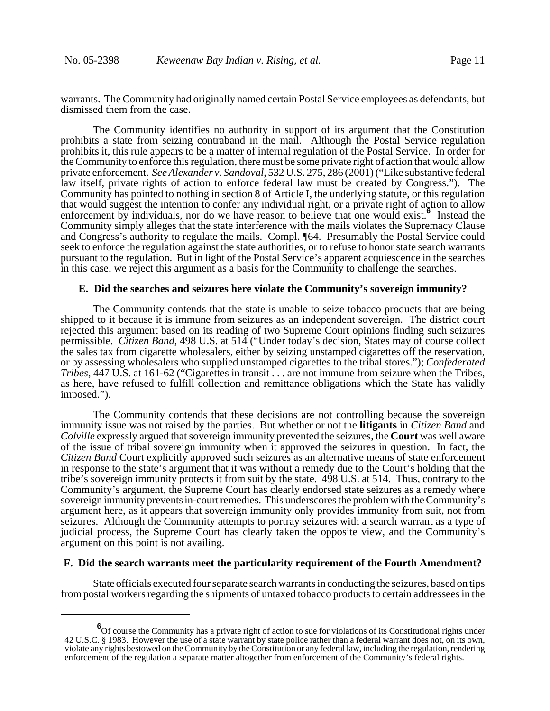warrants. The Community had originally named certain Postal Service employees as defendants, but dismissed them from the case.

The Community identifies no authority in support of its argument that the Constitution prohibits a state from seizing contraband in the mail. Although the Postal Service regulation prohibits it, this rule appears to be a matter of internal regulation of the Postal Service. In order for the Community to enforce this regulation, there must be some private right of action that would allow private enforcement. *See Alexander v. Sandoval*, 532 U.S. 275, 286 (2001) ("Like substantive federal law itself, private rights of action to enforce federal law must be created by Congress."). The Community has pointed to nothing in section 8 of Article I, the underlying statute, or this regulation that would suggest the intention to confer any individual right, or a private right of action to allow enforcement by individuals, nor do we have reason to believe that one would exist.<sup>6</sup> Instead the Community simply alleges that the state interference with the mails violates the Supremacy Clause and Congress's authority to regulate the mails. Compl. ¶64. Presumably the Postal Service could seek to enforce the regulation against the state authorities, or to refuse to honor state search warrants pursuant to the regulation. But in light of the Postal Service's apparent acquiescence in the searches in this case, we reject this argument as a basis for the Community to challenge the searches.

#### **E. Did the searches and seizures here violate the Community's sovereign immunity?**

The Community contends that the state is unable to seize tobacco products that are being shipped to it because it is immune from seizures as an independent sovereign. The district court rejected this argument based on its reading of two Supreme Court opinions finding such seizures permissible. *Citizen Band*, 498 U.S. at 514 ("Under today's decision, States may of course collect the sales tax from cigarette wholesalers, either by seizing unstamped cigarettes off the reservation, or by assessing wholesalers who supplied unstamped cigarettes to the tribal stores."); *Confederated Tribes*, 447 U.S. at 161-62 ("Cigarettes in transit . . . are not immune from seizure when the Tribes, as here, have refused to fulfill collection and remittance obligations which the State has validly imposed.").

The Community contends that these decisions are not controlling because the sovereign immunity issue was not raised by the parties. But whether or not the **litigants** in *Citizen Band* and *Colville* expressly argued that sovereign immunity prevented the seizures, the **Court** was well aware of the issue of tribal sovereign immunity when it approved the seizures in question. In fact, the *Citizen Band* Court explicitly approved such seizures as an alternative means of state enforcement in response to the state's argument that it was without a remedy due to the Court's holding that the tribe's sovereign immunity protects it from suit by the state. 498 U.S. at 514. Thus, contrary to the Community's argument, the Supreme Court has clearly endorsed state seizures as a remedy where sovereign immunity prevents in-court remedies. This underscores the problem with the Community's argument here, as it appears that sovereign immunity only provides immunity from suit, not from seizures. Although the Community attempts to portray seizures with a search warrant as a type of judicial process, the Supreme Court has clearly taken the opposite view, and the Community's argument on this point is not availing.

#### **F. Did the search warrants meet the particularity requirement of the Fourth Amendment?**

State officials executed four separate search warrants in conducting the seizures, based on tips from postal workers regarding the shipments of untaxed tobacco products to certain addressees in the

**<sup>6</sup>** Of course the Community has a private right of action to sue for violations of its Constitutional rights under 42 U.S.C. § 1983. However the use of a state warrant by state police rather than a federal warrant does not, on its own, violate any rights bestowed on the Community by the Constitution or any federal law, including the regulation, rendering enforcement of the regulation a separate matter altogether from enforcement of the Community's federal rights.